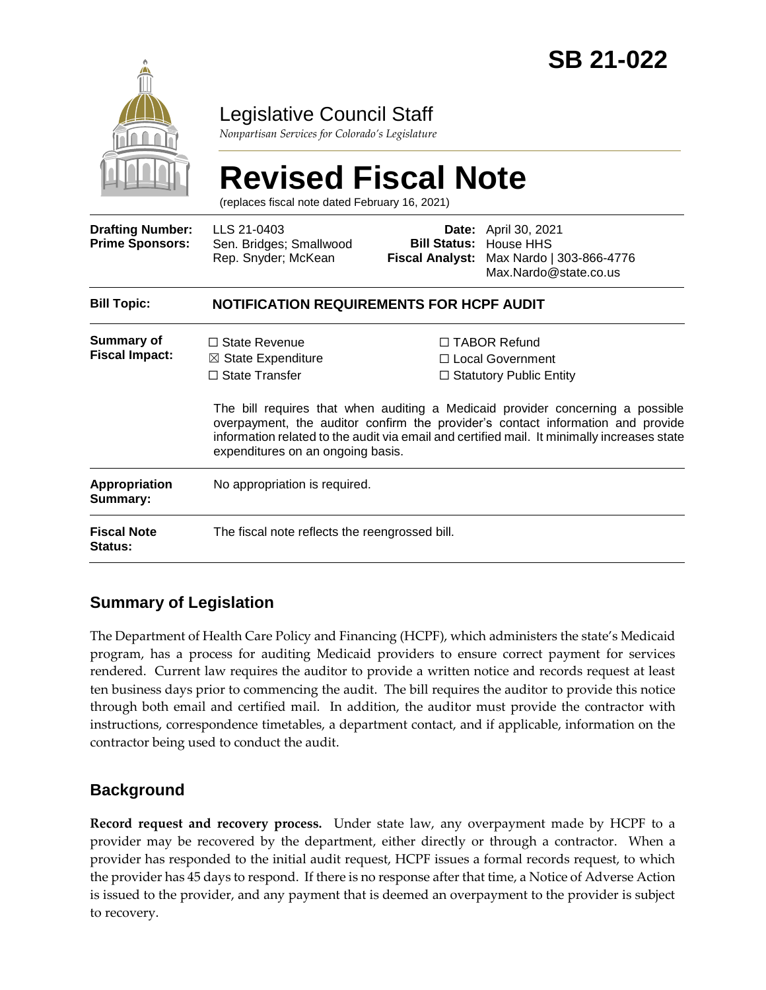

# Legislative Council Staff

*Nonpartisan Services for Colorado's Legislature*

# **Revised Fiscal Note**

(replaces fiscal note dated February 16, 2021)

| <b>Drafting Number:</b><br><b>Prime Sponsors:</b> | LLS 21-0403<br>Sen. Bridges; Smallwood<br>Rep. Snyder; McKean                                                       |  | <b>Date:</b> April 30, 2021<br><b>Bill Status: House HHS</b><br>Fiscal Analyst: Max Nardo   303-866-4776<br>Max.Nardo@state.co.us                                                                                                                                                                                                               |  |
|---------------------------------------------------|---------------------------------------------------------------------------------------------------------------------|--|-------------------------------------------------------------------------------------------------------------------------------------------------------------------------------------------------------------------------------------------------------------------------------------------------------------------------------------------------|--|
| <b>Bill Topic:</b>                                | <b>NOTIFICATION REQUIREMENTS FOR HCPF AUDIT</b>                                                                     |  |                                                                                                                                                                                                                                                                                                                                                 |  |
| Summary of<br><b>Fiscal Impact:</b>               | $\Box$ State Revenue<br>$\boxtimes$ State Expenditure<br>$\Box$ State Transfer<br>expenditures on an ongoing basis. |  | $\Box$ TABOR Refund<br>□ Local Government<br>$\Box$ Statutory Public Entity<br>The bill requires that when auditing a Medicaid provider concerning a possible<br>overpayment, the auditor confirm the provider's contact information and provide<br>information related to the audit via email and certified mail. It minimally increases state |  |
| Appropriation<br>Summary:                         | No appropriation is required.                                                                                       |  |                                                                                                                                                                                                                                                                                                                                                 |  |
| <b>Fiscal Note</b><br><b>Status:</b>              | The fiscal note reflects the reengrossed bill.                                                                      |  |                                                                                                                                                                                                                                                                                                                                                 |  |

## **Summary of Legislation**

The Department of Health Care Policy and Financing (HCPF), which administers the state's Medicaid program, has a process for auditing Medicaid providers to ensure correct payment for services rendered. Current law requires the auditor to provide a written notice and records request at least ten business days prior to commencing the audit. The bill requires the auditor to provide this notice through both email and certified mail. In addition, the auditor must provide the contractor with instructions, correspondence timetables, a department contact, and if applicable, information on the contractor being used to conduct the audit.

## **Background**

**Record request and recovery process.** Under state law, any overpayment made by HCPF to a provider may be recovered by the department, either directly or through a contractor. When a provider has responded to the initial audit request, HCPF issues a formal records request, to which the provider has 45 days to respond. If there is no response after that time, a Notice of Adverse Action is issued to the provider, and any payment that is deemed an overpayment to the provider is subject to recovery.